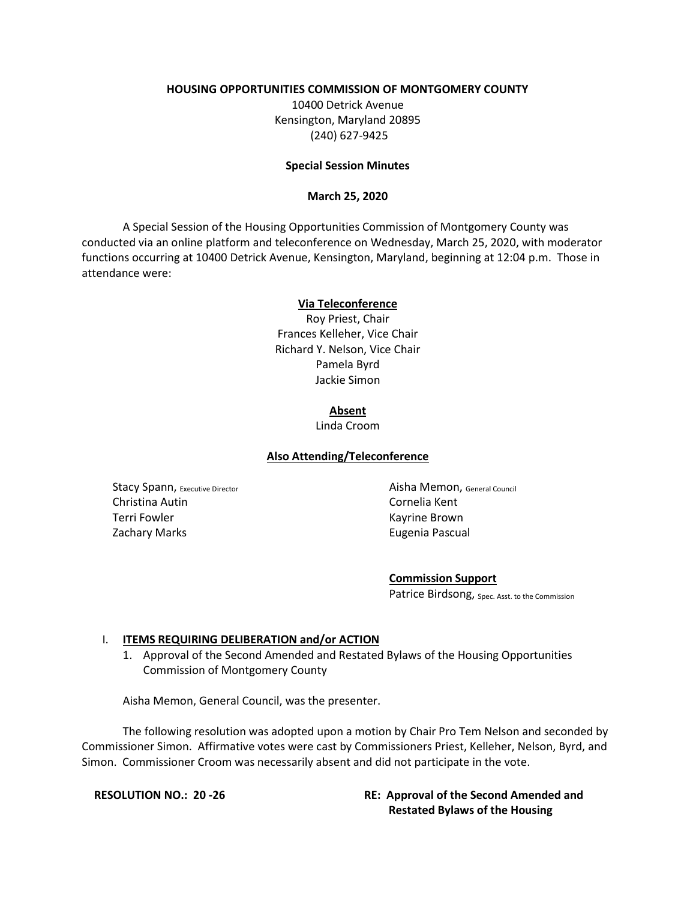## **HOUSING OPPORTUNITIES COMMISSION OF MONTGOMERY COUNTY**

10400 Detrick Avenue Kensington, Maryland 20895 (240) 627-9425

# **Special Session Minutes**

## **March 25, 2020**

A Special Session of the Housing Opportunities Commission of Montgomery County was conducted via an online platform and teleconference on Wednesday, March 25, 2020, with moderator functions occurring at 10400 Detrick Avenue, Kensington, Maryland, beginning at 12:04 p.m. Those in attendance were:

#### **Via Teleconference**

Roy Priest, Chair Frances Kelleher, Vice Chair Richard Y. Nelson, Vice Chair Pamela Byrd Jackie Simon

#### **Absent**

Linda Croom

## **Also Attending/Teleconference**

Stacy Spann, Executive Director Christina Autin Terri Fowler Zachary Marks

Aisha Memon, General Council Cornelia Kent Kayrine Brown Eugenia Pascual

**Commission Support**

Patrice Birdsong, Spec. Asst. to the Commission

## I. **ITEMS REQUIRING DELIBERATION and/or ACTION**

1. Approval of the Second Amended and Restated Bylaws of the Housing Opportunities Commission of Montgomery County

Aisha Memon, General Council, was the presenter.

The following resolution was adopted upon a motion by Chair Pro Tem Nelson and seconded by Commissioner Simon. Affirmative votes were cast by Commissioners Priest, Kelleher, Nelson, Byrd, and Simon. Commissioner Croom was necessarily absent and did not participate in the vote.

# **RESOLUTION NO.: 20 -26 RE: Approval of the Second Amended and Restated Bylaws of the Housing**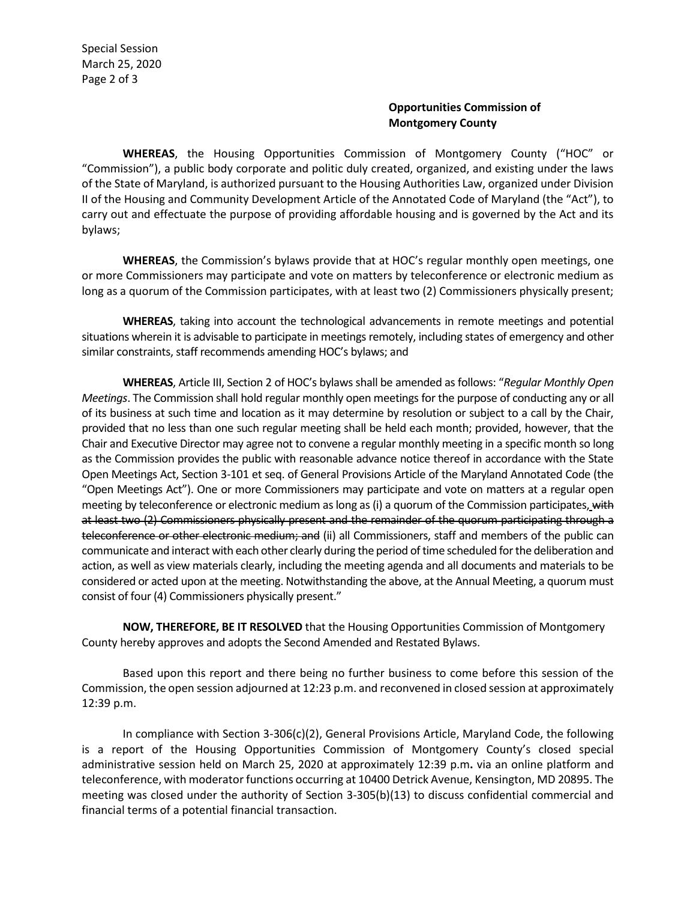Special Session March 25, 2020 Page 2 of 3

# **Opportunities Commission of Montgomery County**

**WHEREAS**, the Housing Opportunities Commission of Montgomery County ("HOC" or "Commission"), a public body corporate and politic duly created, organized, and existing under the laws of the State of Maryland, is authorized pursuant to the Housing Authorities Law, organized under Division II of the Housing and Community Development Article of the Annotated Code of Maryland (the "Act"), to carry out and effectuate the purpose of providing affordable housing and is governed by the Act and its bylaws;

**WHEREAS**, the Commission's bylaws provide that at HOC's regular monthly open meetings, one or more Commissioners may participate and vote on matters by teleconference or electronic medium as long as a quorum of the Commission participates, with at least two (2) Commissioners physically present;

**WHEREAS**, taking into account the technological advancements in remote meetings and potential situations wherein it is advisable to participate in meetings remotely, including states of emergency and other similar constraints, staff recommends amending HOC's bylaws; and

**WHEREAS**, Article III, Section 2 of HOC's bylaws shall be amended as follows: "*Regular Monthly Open Meetings*. The Commission shall hold regular monthly open meetings for the purpose of conducting any or all of its business at such time and location as it may determine by resolution or subject to a call by the Chair, provided that no less than one such regular meeting shall be held each month; provided, however, that the Chair and Executive Director may agree not to convene a regular monthly meeting in a specific month so long as the Commission provides the public with reasonable advance notice thereof in accordance with the State Open Meetings Act, Section 3-101 et seq. of General Provisions Article of the Maryland Annotated Code (the "Open Meetings Act"). One or more Commissioners may participate and vote on matters at a regular open meeting by teleconference or electronic medium as long as (i) a quorum of the Commission participates, with at least two (2) Commissioners physically present and the remainder of the quorum participating through a teleconference or other electronic medium; and (ii) all Commissioners, staff and members of the public can communicate and interact with each other clearly during the period of time scheduled for the deliberation and action, as well as view materials clearly, including the meeting agenda and all documents and materials to be considered or acted upon at the meeting. Notwithstanding the above, at the Annual Meeting, a quorum must consist of four (4) Commissioners physically present."

**NOW, THEREFORE, BE IT RESOLVED** that the Housing Opportunities Commission of Montgomery County hereby approves and adopts the Second Amended and Restated Bylaws.

Based upon this report and there being no further business to come before this session of the Commission, the open session adjourned at 12:23 p.m. and reconvened in closed session at approximately 12:39 p.m.

In compliance with Section 3-306(c)(2), General Provisions Article, Maryland Code, the following is a report of the Housing Opportunities Commission of Montgomery County's closed special administrative session held on March 25, 2020 at approximately 12:39 p.m**.** via an online platform and teleconference, with moderator functions occurring at 10400 Detrick Avenue, Kensington, MD 20895. The meeting was closed under the authority of Section 3-305(b)(13) to discuss confidential commercial and financial terms of a potential financial transaction.